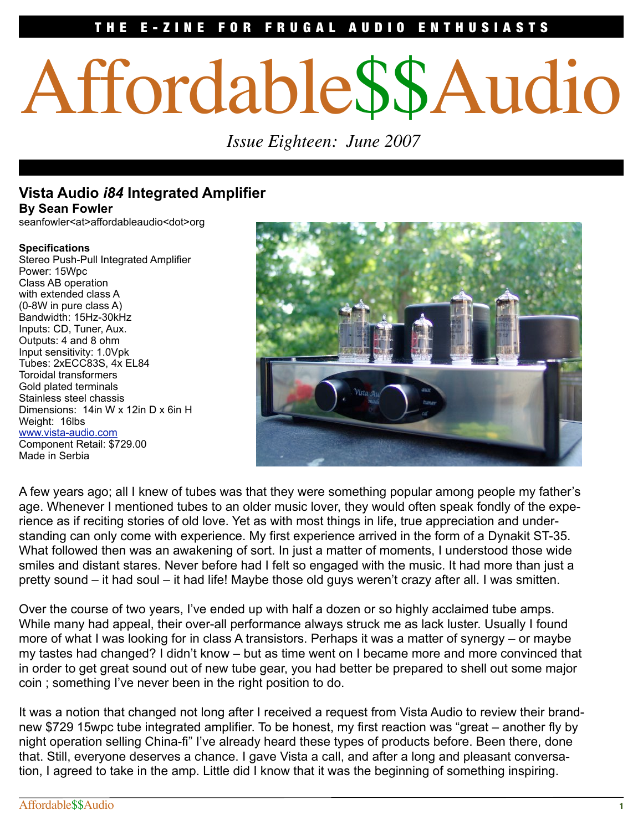# E-ZINE FOR FRUGAL AUDIO ENTHUSIASTS

# Affordable\$\$Audio

 *Issue Eighteen: June 2007*

## **Vista Audio** *i84* **Integrated Amplifier By Sean Fowler**

seanfowler<at>affordableaudio<dot>org

#### **Specifications**

Stereo Push-Pull Integrated Amplifier Power: 15Wpc Class AB operation with extended class A (0-8W in pure class A) Bandwidth: 15Hz-30kHz Inputs: CD, Tuner, Aux. Outputs: 4 and 8 ohm Input sensitivity: 1.0Vpk Tubes: 2xECC83S, 4x EL84 Toroidal transformers Gold plated terminals Stainless steel chassis Dimensions: 14in W x 12in D x 6in H Weight: 16lbs www.vista-audio.com Component Retail: \$729.00 Made in Serbia



A few years ago; all I knew of tubes was that they were something popular among people my father's age. Whenever I mentioned tubes to an older music lover, they would often speak fondly of the experience as if reciting stories of old love. Yet as with most things in life, true appreciation and understanding can only come with experience. My first experience arrived in the form of a Dynakit ST-35. What followed then was an awakening of sort. In just a matter of moments, I understood those wide smiles and distant stares. Never before had I felt so engaged with the music. It had more than just a pretty sound – it had soul – it had life! Maybe those old guys weren't crazy after all. I was smitten.

Over the course of two years, I've ended up with half a dozen or so highly acclaimed tube amps. While many had appeal, their over-all performance always struck me as lack luster. Usually I found more of what I was looking for in class A transistors. Perhaps it was a matter of synergy – or maybe my tastes had changed? I didn't know – but as time went on I became more and more convinced that in order to get great sound out of new tube gear, you had better be prepared to shell out some major coin ; something I've never been in the right position to do.

It was a notion that changed not long after I received a request from Vista Audio to review their brandnew \$729 15wpc tube integrated amplifier. To be honest, my first reaction was "great – another fly by night operation selling China-fi" I've already heard these types of products before. Been there, done that. Still, everyone deserves a chance. I gave Vista a call, and after a long and pleasant conversation, I agreed to take in the amp. Little did I know that it was the beginning of something inspiring.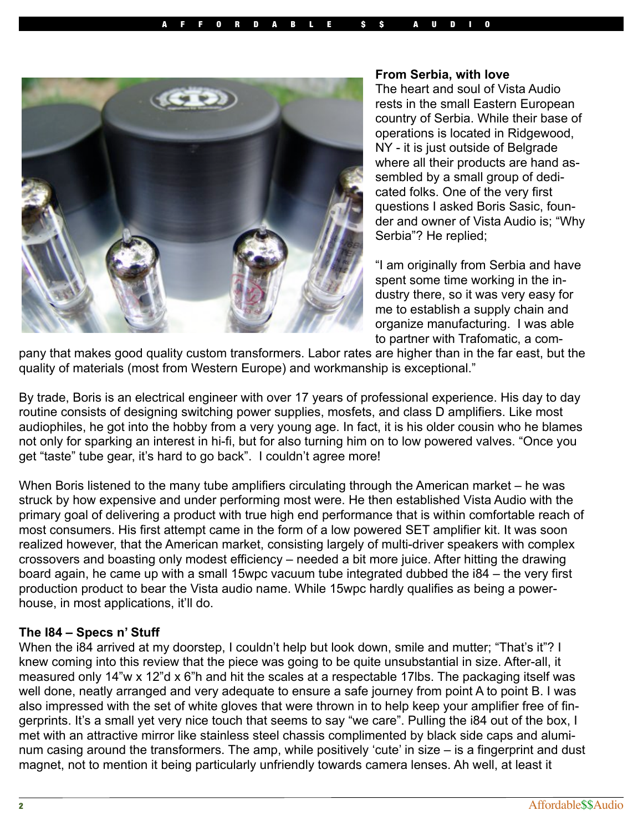

#### **From Serbia, with love**

The heart and soul of Vista Audio rests in the small Eastern European country of Serbia. While their base of operations is located in Ridgewood, NY - it is just outside of Belgrade where all their products are hand assembled by a small group of dedicated folks. One of the very first questions I asked Boris Sasic, founder and owner of Vista Audio is; "Why Serbia"? He replied;

"I am originally from Serbia and have spent some time working in the industry there, so it was very easy for me to establish a supply chain and organize manufacturing. I was able to partner with Trafomatic, a com-

pany that makes good quality custom transformers. Labor rates are higher than in the far east, but the quality of materials (most from Western Europe) and workmanship is exceptional."

By trade, Boris is an electrical engineer with over 17 years of professional experience. His day to day routine consists of designing switching power supplies, mosfets, and class D amplifiers. Like most audiophiles, he got into the hobby from a very young age. In fact, it is his older cousin who he blames not only for sparking an interest in hi-fi, but for also turning him on to low powered valves. "Once you get "taste" tube gear, it's hard to go back". I couldn't agree more!

When Boris listened to the many tube amplifiers circulating through the American market – he was struck by how expensive and under performing most were. He then established Vista Audio with the primary goal of delivering a product with true high end performance that is within comfortable reach of most consumers. His first attempt came in the form of a low powered SET amplifier kit. It was soon realized however, that the American market, consisting largely of multi-driver speakers with complex crossovers and boasting only modest efficiency – needed a bit more juice. After hitting the drawing board again, he came up with a small 15wpc vacuum tube integrated dubbed the i84 – the very first production product to bear the Vista audio name. While 15wpc hardly qualifies as being a powerhouse, in most applications, it'll do.

## **The I84 – Specs n' Stuff**

When the i84 arrived at my doorstep, I couldn't help but look down, smile and mutter; "That's it"? I knew coming into this review that the piece was going to be quite unsubstantial in size. After-all, it measured only 14"w x 12"d x 6"h and hit the scales at a respectable 17lbs. The packaging itself was well done, neatly arranged and very adequate to ensure a safe journey from point A to point B. I was also impressed with the set of white gloves that were thrown in to help keep your amplifier free of fingerprints. It's a small yet very nice touch that seems to say "we care". Pulling the i84 out of the box, I met with an attractive mirror like stainless steel chassis complimented by black side caps and aluminum casing around the transformers. The amp, while positively 'cute' in size – is a fingerprint and dust magnet, not to mention it being particularly unfriendly towards camera lenses. Ah well, at least it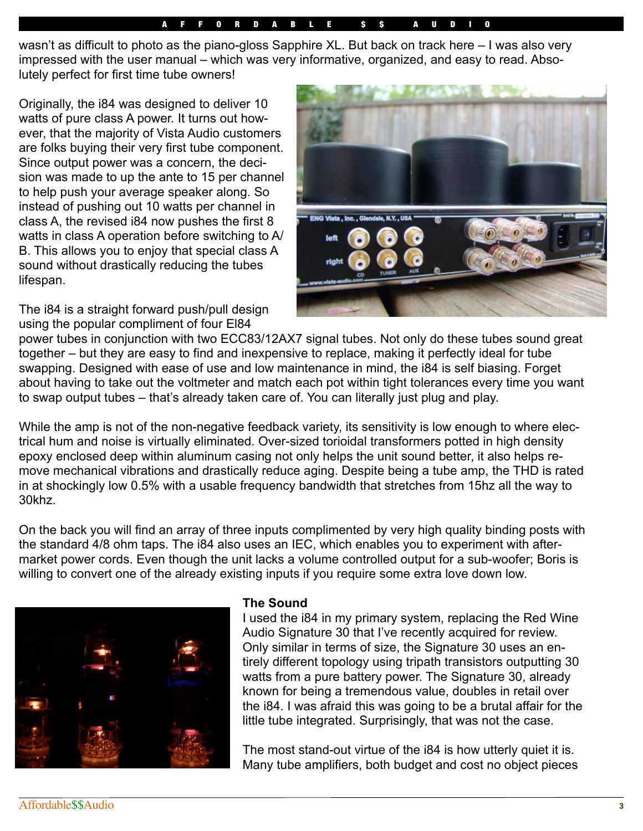## F F O R D A B L E S

wasn't as difficult to photo as the piano-gloss Sapphire XL. But back on track here – I was also very impressed with the user manual – which was very informative, organized, and easy to read. Absolutely perfect for first time tube owners!

Originally, the i84 was designed to deliver 10 watts of pure class A power. It turns out however, that the majority of Vista Audio customers are folks buying their very first tube component. Since output power was a concern, the decision was made to up the ante to 15 per channel to help push your average speaker along. So instead of pushing out 10 watts per channel in class A, the revised i84 now pushes the first 8 watts in class A operation before switching to A/ B. This allows you to enjoy that special class A sound without drastically reducing the tubes lifespan.

The i84 is a straight forward push/pull design using the popular compliment of four El84



power tubes in conjunction with two ECC83/12AX7 signal tubes. Not only do these tubes sound great together – but they are easy to find and inexpensive to replace, making it perfectly ideal for tube swapping. Designed with ease of use and low maintenance in mind, the i84 is self biasing. Forget about having to take out the voltmeter and match each pot within tight tolerances every time you want to swap output tubes – that's already taken care of. You can literally just plug and play.

While the amp is not of the non-negative feedback variety, its sensitivity is low enough to where electrical hum and noise is virtually eliminated. Over-sized torioidal transformers potted in high density epoxy enclosed deep within aluminum casing not only helps the unit sound better, it also helps remove mechanical vibrations and drastically reduce aging. Despite being a tube amp, the THD is rated in at shockingly low 0.5% with a usable frequency bandwidth that stretches from 15hz all the way to 30khz.

On the back you will find an array of three inputs complimented by very high quality binding posts with the standard 4/8 ohm taps. The i84 also uses an IEC, which enables you to experiment with aftermarket power cords. Even though the unit lacks a volume controlled output for a sub-woofer; Boris is willing to convert one of the already existing inputs if you require some extra love down low.



## **The Sound**

I used the i84 in my primary system, replacing the Red Wine Audio Signature 30 that I've recently acquired for review. Only similar in terms of size, the Signature 30 uses an entirely different topology using tripath transistors outputting 30 watts from a pure battery power. The Signature 30, already known for being a tremendous value, doubles in retail over the i84. I was afraid this was going to be a brutal affair for the little tube integrated. Surprisingly, that was not the case.

The most stand-out virtue of the i84 is how utterly quiet it is. Many tube amplifiers, both budget and cost no object pieces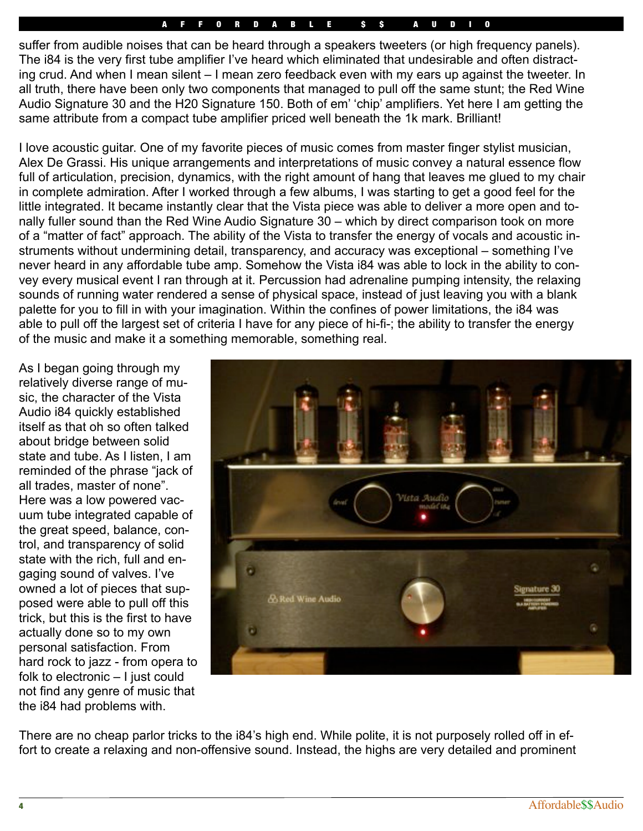## F F O R D A B L E S S S A U

suffer from audible noises that can be heard through a speakers tweeters (or high frequency panels). The i84 is the very first tube amplifier I've heard which eliminated that undesirable and often distracting crud. And when I mean silent – I mean zero feedback even with my ears up against the tweeter. In all truth, there have been only two components that managed to pull off the same stunt; the Red Wine Audio Signature 30 and the H20 Signature 150. Both of em' 'chip' amplifiers. Yet here I am getting the same attribute from a compact tube amplifier priced well beneath the 1k mark. Brilliant!

I love acoustic guitar. One of my favorite pieces of music comes from master finger stylist musician, Alex De Grassi. His unique arrangements and interpretations of music convey a natural essence flow full of articulation, precision, dynamics, with the right amount of hang that leaves me glued to my chair in complete admiration. After I worked through a few albums, I was starting to get a good feel for the little integrated. It became instantly clear that the Vista piece was able to deliver a more open and tonally fuller sound than the Red Wine Audio Signature 30 – which by direct comparison took on more of a "matter of fact" approach. The ability of the Vista to transfer the energy of vocals and acoustic instruments without undermining detail, transparency, and accuracy was exceptional – something I've never heard in any affordable tube amp. Somehow the Vista i84 was able to lock in the ability to convey every musical event I ran through at it. Percussion had adrenaline pumping intensity, the relaxing sounds of running water rendered a sense of physical space, instead of just leaving you with a blank palette for you to fill in with your imagination. Within the confines of power limitations, the i84 was able to pull off the largest set of criteria I have for any piece of hi-fi-; the ability to transfer the energy of the music and make it a something memorable, something real.

As I began going through my relatively diverse range of music, the character of the Vista Audio i84 quickly established itself as that oh so often talked about bridge between solid state and tube. As I listen, I am reminded of the phrase "jack of all trades, master of none". Here was a low powered vacuum tube integrated capable of the great speed, balance, control, and transparency of solid state with the rich, full and engaging sound of valves. I've owned a lot of pieces that supposed were able to pull off this trick, but this is the first to have actually done so to my own personal satisfaction. From hard rock to jazz - from opera to folk to electronic – I just could not find any genre of music that the i84 had problems with.



There are no cheap parlor tricks to the i84's high end. While polite, it is not purposely rolled off in effort to create a relaxing and non-offensive sound. Instead, the highs are very detailed and prominent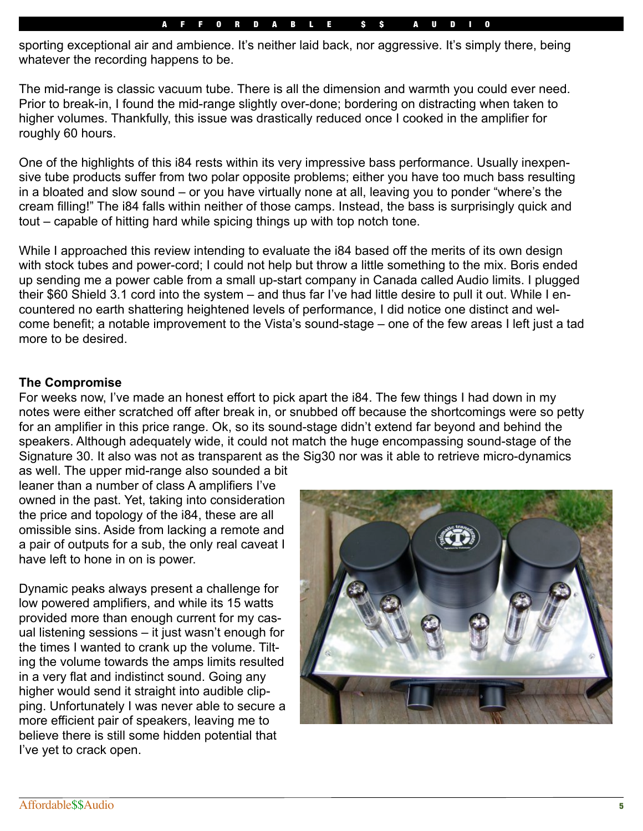#### A F F O R D A B L E S S S A U D

sporting exceptional air and ambience. It's neither laid back, nor aggressive. It's simply there, being whatever the recording happens to be.

The mid-range is classic vacuum tube. There is all the dimension and warmth you could ever need. Prior to break-in, I found the mid-range slightly over-done; bordering on distracting when taken to higher volumes. Thankfully, this issue was drastically reduced once I cooked in the amplifier for roughly 60 hours.

One of the highlights of this i84 rests within its very impressive bass performance. Usually inexpensive tube products suffer from two polar opposite problems; either you have too much bass resulting in a bloated and slow sound – or you have virtually none at all, leaving you to ponder "where's the cream filling!" The i84 falls within neither of those camps. Instead, the bass is surprisingly quick and tout – capable of hitting hard while spicing things up with top notch tone.

While I approached this review intending to evaluate the i84 based off the merits of its own design with stock tubes and power-cord; I could not help but throw a little something to the mix. Boris ended up sending me a power cable from a small up-start company in Canada called Audio limits. I plugged their \$60 Shield 3.1 cord into the system – and thus far I've had little desire to pull it out. While I encountered no earth shattering heightened levels of performance, I did notice one distinct and welcome benefit; a notable improvement to the Vista's sound-stage – one of the few areas I left just a tad more to be desired.

### **The Compromise**

For weeks now, I've made an honest effort to pick apart the i84. The few things I had down in my notes were either scratched off after break in, or snubbed off because the shortcomings were so petty for an amplifier in this price range. Ok, so its sound-stage didn't extend far beyond and behind the speakers. Although adequately wide, it could not match the huge encompassing sound-stage of the Signature 30. It also was not as transparent as the Sig30 nor was it able to retrieve micro-dynamics

as well. The upper mid-range also sounded a bit leaner than a number of class A amplifiers I've owned in the past. Yet, taking into consideration the price and topology of the i84, these are all omissible sins. Aside from lacking a remote and a pair of outputs for a sub, the only real caveat I have left to hone in on is power.

Dynamic peaks always present a challenge for low powered amplifiers, and while its 15 watts provided more than enough current for my casual listening sessions – it just wasn't enough for the times I wanted to crank up the volume. Tilting the volume towards the amps limits resulted in a very flat and indistinct sound. Going any higher would send it straight into audible clipping. Unfortunately I was never able to secure a more efficient pair of speakers, leaving me to believe there is still some hidden potential that I've yet to crack open.

![](_page_4_Picture_9.jpeg)